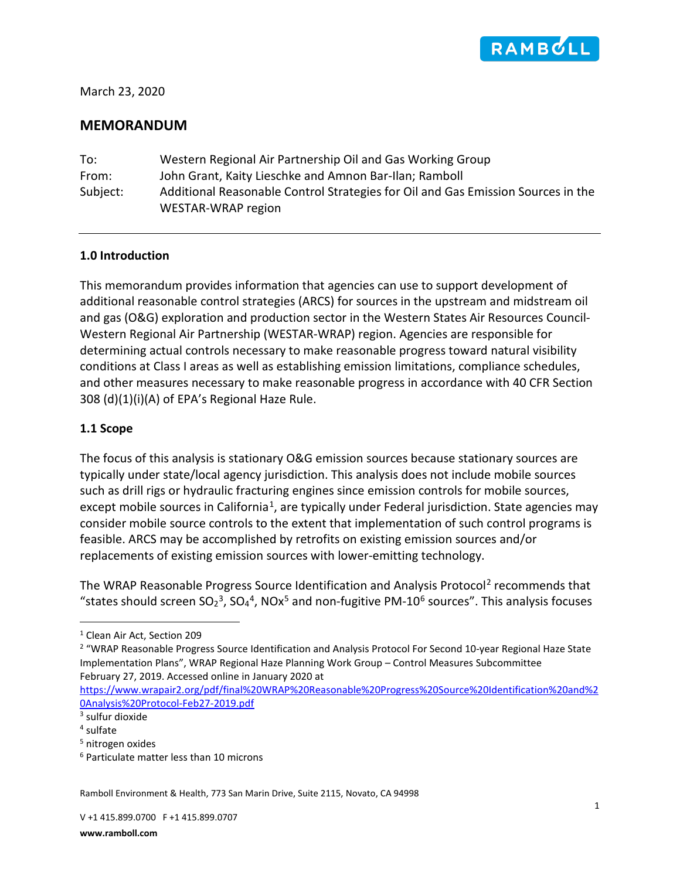

March 23, 2020

# **MEMORANDUM**

| To:      | Western Regional Air Partnership Oil and Gas Working Group                       |
|----------|----------------------------------------------------------------------------------|
| From:    | John Grant, Kaity Lieschke and Amnon Bar-Ilan; Ramboll                           |
| Subject: | Additional Reasonable Control Strategies for Oil and Gas Emission Sources in the |
|          | WESTAR-WRAP region                                                               |

#### **1.0 Introduction**

This memorandum provides information that agencies can use to support development of additional reasonable control strategies (ARCS) for sources in the upstream and midstream oil and gas (O&G) exploration and production sector in the Western States Air Resources Council-Western Regional Air Partnership (WESTAR-WRAP) region. Agencies are responsible for determining actual controls necessary to make reasonable progress toward natural visibility conditions at Class I areas as well as establishing emission limitations, compliance schedules, and other measures necessary to make reasonable progress in accordance with 40 CFR Section 308 (d)(1)(i)(A) of EPA's Regional Haze Rule.

#### **1.1 Scope**

The focus of this analysis is stationary O&G emission sources because stationary sources are typically under state/local agency jurisdiction. This analysis does not include mobile sources such as drill rigs or hydraulic fracturing engines since emission controls for mobile sources, except mobile sources in California<sup>1</sup>, are typically under Federal jurisdiction. State agencies may consider mobile source controls to the extent that implementation of such control programs is feasible. ARCS may be accomplished by retrofits on existing emission sources and/or replacements of existing emission sources with lower-emitting technology.

The WRAP Reasonable Progress Source Identification and Analysis Protocol<sup>[2](#page-0-1)</sup> recommends that "states should screen  $SO_2^3$  $SO_2^3$ ,  $SO_4^4$  $SO_4^4$  $SO_4^4$ , NOx<sup>[5](#page-0-4)</sup> and non-fugitive PM-10<sup>[6](#page-0-5)</sup> sources". This analysis focuses

<span id="page-0-1"></span><sup>2</sup> "WRAP Reasonable Progress Source Identification and Analysis Protocol For Second 10-year Regional Haze State Implementation Plans", WRAP Regional Haze Planning Work Group – Control Measures Subcommittee February 27, 2019. Accessed online in January 2020 at

[https://www.wrapair2.org/pdf/final%20WRAP%20Reasonable%20Progress%20Source%20Identification%20and%2](https://www.wrapair2.org/pdf/final%20WRAP%20Reasonable%20Progress%20Source%20Identification%20and%20Analysis%20Protocol-Feb27-2019.pdf) [0Analysis%20Protocol-Feb27-2019.pdf](https://www.wrapair2.org/pdf/final%20WRAP%20Reasonable%20Progress%20Source%20Identification%20and%20Analysis%20Protocol-Feb27-2019.pdf)

Ramboll Environment & Health, 773 San Marin Drive, Suite 2115, Novato, CA 94998

<span id="page-0-0"></span><sup>1</sup> Clean Air Act, Section 209

<span id="page-0-2"></span><sup>3</sup> sulfur dioxide

<span id="page-0-3"></span><sup>4</sup> sulfate

<span id="page-0-4"></span><sup>5</sup> nitrogen oxides

<span id="page-0-5"></span><sup>6</sup> Particulate matter less than 10 microns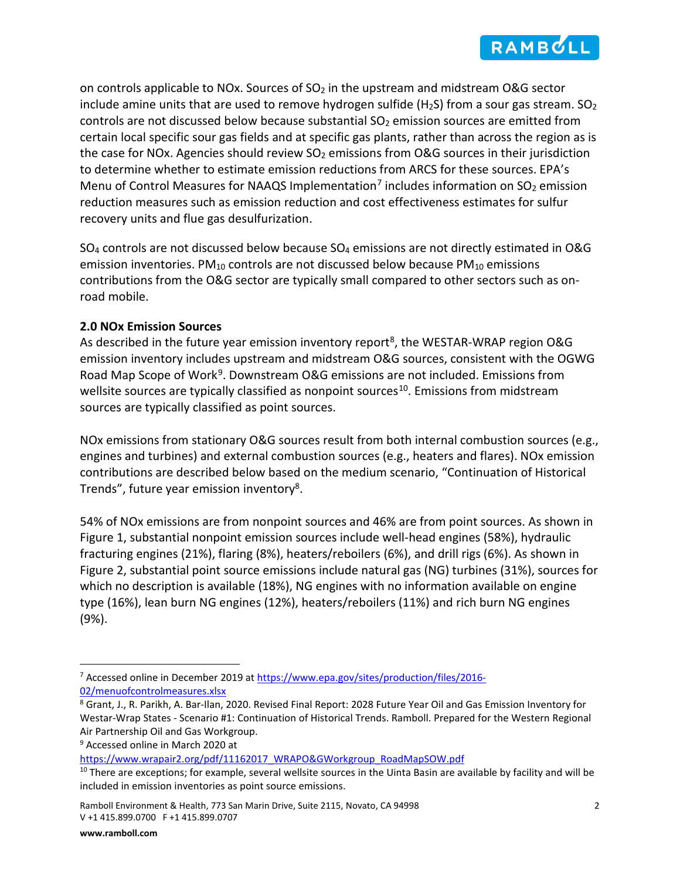<span id="page-1-6"></span><span id="page-1-5"></span>

on controls applicable to NOx. Sources of  $SO<sub>2</sub>$  in the upstream and midstream O&G sector include amine units that are used to remove hydrogen sulfide (H<sub>2</sub>S) from a sour gas stream. SO<sub>2</sub> controls are not discussed below because substantial  $SO<sub>2</sub>$  emission sources are emitted from certain local specific sour gas fields and at specific gas plants, rather than across the region as is the case for NOx. Agencies should review  $SO<sub>2</sub>$  emissions from O&G sources in their jurisdiction to determine whether to estimate emission reductions from ARCS for these sources. EPA's Menu of Control Measures for NAAQS Implementation<sup>[7](#page-1-1)</sup> includes information on  $SO<sub>2</sub>$  emission reduction measures such as emission reduction and cost effectiveness estimates for sulfur recovery units and flue gas desulfurization.

SO4 controls are not discussed below because SO4 emissions are not directly estimated in O&G emission inventories.  $PM_{10}$  controls are not discussed below because  $PM_{10}$  emissions contributions from the O&G sector are typically small compared to other sectors such as onroad mobile.

### **2.0 NOx Emission Sources**

<span id="page-1-0"></span>As described in the future year emission inventory report<sup>[8](#page-1-2)</sup>, the WESTAR-WRAP region O&G emission inventory includes upstream and midstream O&G sources, consistent with the OGWG Road Map Scope of Work<sup>9</sup>. Downstream O&G emissions are not included. Emissions from wellsite sources are typically classified as nonpoint sources<sup>[10](#page-1-4)</sup>. Emissions from midstream sources are typically classified as point sources.

NOx emissions from stationary O&G sources result from both internal combustion sources (e.g., engines and turbines) and external combustion sources (e.g., heaters and flares). NOx emission contributions are described below based on the medium scenario, "Continuation of Historical Trends", future year emission inventory<sup>8</sup>.

54% of NOx emissions are from nonpoint sources and 46% are from point sources. As shown in Figure 1, substantial nonpoint emission sources include well-head engines (58%), hydraulic fracturing engines (21%), flaring (8%), heaters/reboilers (6%), and drill rigs (6%). As shown in Figure 2, substantial point source emissions include natural gas (NG) turbines (31%), sources for which no description is available (18%), NG engines with no information available on engine type (16%), lean burn NG engines (12%), heaters/reboilers (11%) and rich burn NG engines (9%).

<span id="page-1-1"></span><sup>&</sup>lt;sup>7</sup> Accessed online in December 2019 at [https://www.epa.gov/sites/production/files/2016-](https://www.epa.gov/sites/production/files/2016-02/menuofcontrolmeasures.xlsx) [02/menuofcontrolmeasures.xlsx](https://www.epa.gov/sites/production/files/2016-02/menuofcontrolmeasures.xlsx)

<span id="page-1-2"></span><sup>8</sup> Grant, J., R. Parikh, A. Bar-Ilan, 2020. Revised Final Report: 2028 Future Year Oil and Gas Emission Inventory for Westar-Wrap States - Scenario #1: Continuation of Historical Trends. Ramboll. Prepared for the Western Regional Air Partnership Oil and Gas Workgroup.

<span id="page-1-3"></span><sup>9</sup> Accessed online in March 2020 at

<span id="page-1-4"></span>https://www.wrapair2.org/pdf/11162017\_WRAPO&GWorkgroup\_RoadMapSOW.pdf<br><sup>10</sup> There are exceptions; for example, several wellsite sources in the Uinta Basin are available by facility and will be included in emission inventories as point source emissions.

Ramboll Environment & Health, 773 San Marin Drive, Suite 2115, Novato, CA 94998 2 V +1 415.899.0700 F +1 415.899.0707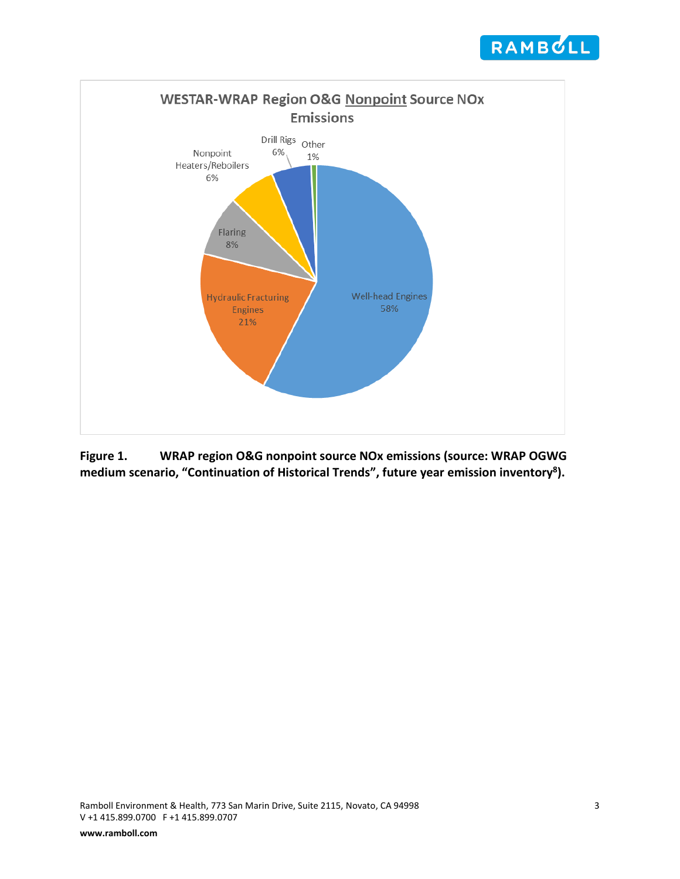



**Figure 1. WRAP region O&G nonpoint source NOx emissions (source: WRAP OGWG medium scenario, "Continuation of Historical Trends", future year emission inventor[y8\)](#page-1-0).**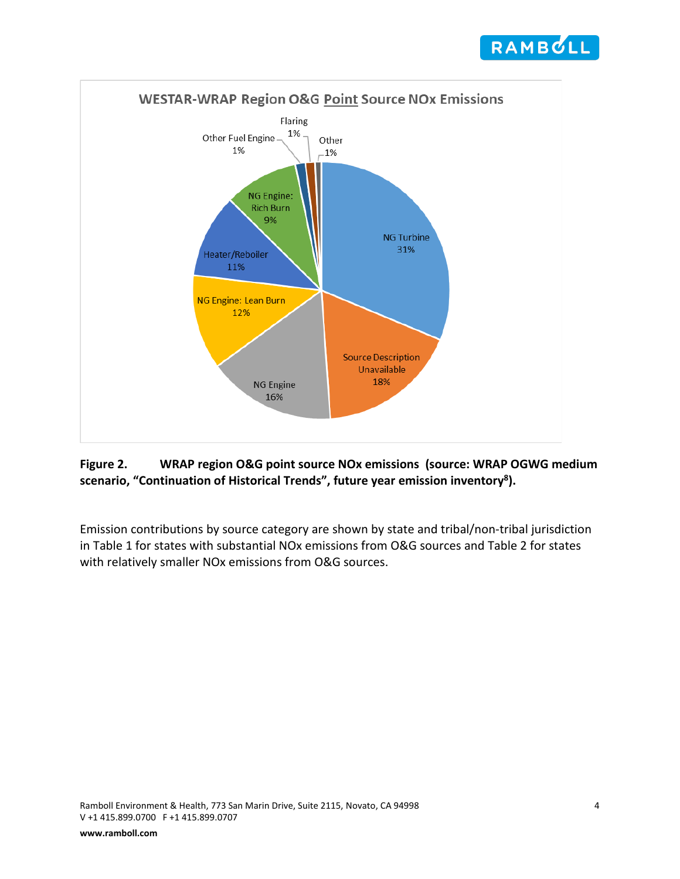



# **Figure 2. WRAP region O&G point source NOx emissions (source: WRAP OGWG medium scenario, "Continuation of Historical Trends", future year emission inventor[y8\)](#page-1-0).**

Emission contributions by source category are shown by state and tribal/non-tribal jurisdiction in Table 1 for states with substantial NOx emissions from O&G sources and Table 2 for states with relatively smaller NOx emissions from O&G sources.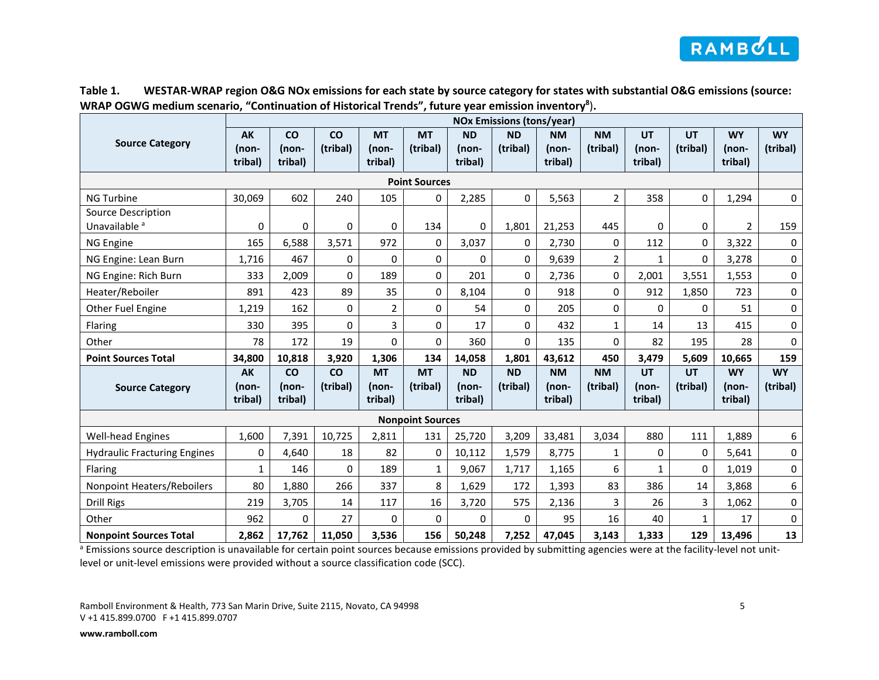

| Table 1. | WESTAR-WRAP region O&G NOx emissions for each state by source category for states with substantial O&G emissions (source: |
|----------|---------------------------------------------------------------------------------------------------------------------------|
|          | WRAP OGWG medium scenario, "Continuation of Historical Trends", future year emission inventory <sup>8</sup> ).            |

|                                                       | <b>NOx Emissions (tons/year)</b> |                               |                       |                               |                       |                               |                       |                               |                       |                               |                       |                               |                       |
|-------------------------------------------------------|----------------------------------|-------------------------------|-----------------------|-------------------------------|-----------------------|-------------------------------|-----------------------|-------------------------------|-----------------------|-------------------------------|-----------------------|-------------------------------|-----------------------|
| <b>Source Category</b>                                | <b>AK</b><br>(non-<br>tribal)    | <b>CO</b><br>(non-<br>tribal) | <b>CO</b><br>(tribal) | <b>MT</b><br>(non-<br>tribal) | <b>MT</b><br>(tribal) | <b>ND</b><br>(non-<br>tribal) | <b>ND</b><br>(tribal) | <b>NM</b><br>(non-<br>tribal) | <b>NM</b><br>(tribal) | UT<br>(non-<br>tribal)        | <b>UT</b><br>(tribal) | <b>WY</b><br>(non-<br>tribal) | <b>WY</b><br>(tribal) |
|                                                       | <b>Point Sources</b>             |                               |                       |                               |                       |                               |                       |                               |                       |                               |                       |                               |                       |
| <b>NG Turbine</b>                                     | 30,069                           | 602                           | 240                   | 105                           | 0                     | 2,285                         | 0                     | 5,563                         | $\overline{2}$        | 358                           | 0                     | 1,294                         | $\mathsf 0$           |
| <b>Source Description</b><br>Unavailable <sup>a</sup> | 0                                | 0                             | 0                     | 0                             | 134                   | 0                             | 1,801                 | 21,253                        | 445                   | 0                             | 0                     | $\overline{2}$                | 159                   |
| NG Engine                                             | 165                              | 6,588                         | 3,571                 | 972                           | 0                     | 3,037                         | 0                     | 2,730                         | 0                     | 112                           | 0                     | 3,322                         | $\mathsf 0$           |
| NG Engine: Lean Burn                                  | 1,716                            | 467                           | 0                     | 0                             | 0                     | 0                             | 0                     | 9,639                         | 2                     | 1                             | 0                     | 3,278                         | $\mathbf 0$           |
| NG Engine: Rich Burn                                  | 333                              | 2,009                         | 0                     | 189                           | $\Omega$              | 201                           | 0                     | 2,736                         | 0                     | 2,001                         | 3,551                 | 1,553                         | 0                     |
| Heater/Reboiler                                       | 891                              | 423                           | 89                    | 35                            | 0                     | 8,104                         | 0                     | 918                           | 0                     | 912                           | 1,850                 | 723                           | 0                     |
| Other Fuel Engine                                     | 1,219                            | 162                           | 0                     | $\overline{2}$                | 0                     | 54                            | 0                     | 205                           | 0                     | 0                             | 0                     | 51                            | $\mathsf 0$           |
| Flaring                                               | 330                              | 395                           | 0                     | 3                             | 0                     | 17                            | 0                     | 432                           | $\mathbf{1}$          | 14                            | 13                    | 415                           | $\mathbf 0$           |
| Other                                                 | 78                               | 172                           | 19                    | $\Omega$                      | $\Omega$              | 360                           | $\Omega$              | 135                           | $\Omega$              | 82                            | 195                   | 28                            | $\mathbf 0$           |
| <b>Point Sources Total</b>                            | 34,800                           | 10,818                        | 3,920                 | 1,306                         | 134                   | 14,058                        | 1,801                 | 43,612                        | 450                   | 3,479                         | 5,609                 | 10,665                        | 159                   |
| <b>Source Category</b>                                | <b>AK</b><br>(non-<br>tribal)    | co<br>(non-<br>tribal)        | co<br>(tribal)        | <b>MT</b><br>(non-<br>tribal) | <b>MT</b><br>(tribal) | <b>ND</b><br>(non-<br>tribal) | <b>ND</b><br>(tribal) | <b>NM</b><br>(non-<br>tribal) | <b>NM</b><br>(tribal) | <b>UT</b><br>(non-<br>tribal) | <b>UT</b><br>(tribal) | <b>WY</b><br>(non-<br>tribal) | <b>WY</b><br>(tribal) |
| <b>Nonpoint Sources</b>                               |                                  |                               |                       |                               |                       |                               |                       |                               |                       |                               |                       |                               |                       |
| <b>Well-head Engines</b>                              | 1,600                            | 7,391                         | 10,725                | 2,811                         | 131                   | 25,720                        | 3,209                 | 33,481                        | 3,034                 | 880                           | 111                   | 1,889                         | 6                     |
| <b>Hydraulic Fracturing Engines</b>                   | 0                                | 4,640                         | 18                    | 82                            | 0                     | 10,112                        | 1,579                 | 8,775                         | 1                     | 0                             | 0                     | 5,641                         | $\pmb{0}$             |
| Flaring                                               | $\mathbf{1}$                     | 146                           | 0                     | 189                           | $\mathbf{1}$          | 9,067                         | 1,717                 | 1,165                         | 6                     | $\mathbf 1$                   | 0                     | 1,019                         | 0                     |
| Nonpoint Heaters/Reboilers                            | 80                               | 1,880                         | 266                   | 337                           | 8                     | 1,629                         | 172                   | 1,393                         | 83                    | 386                           | 14                    | 3,868                         | 6                     |
| Drill Rigs                                            | 219                              | 3,705                         | 14                    | 117                           | 16                    | 3,720                         | 575                   | 2,136                         | 3                     | 26                            | 3                     | 1,062                         | $\mathsf{O}\xspace$   |
| Other                                                 | 962                              | 0                             | 27                    | 0                             | $\Omega$              | $\Omega$                      | 0                     | 95                            | 16                    | 40                            | $\mathbf{1}$          | 17                            | $\mathbf 0$           |
| <b>Nonpoint Sources Total</b>                         | 2,862                            | 17.762                        | 11,050                | 3,536                         | 156                   | 50,248                        | 7,252                 | 47,045                        | 3,143                 | 1,333                         | 129                   | 13,496                        | 13                    |

<sup>a</sup> Emissions source description is unavailable for certain point sources because emissions provided by submitting agencies were at the facility-level not unitlevel or unit-level emissions were provided without a source classification code (SCC).

Ramboll Environment & Health, 773 San Marin Drive, Suite 2115, Novato, CA 94998 5 V +1 415.899.0700 F +1 415.899.0707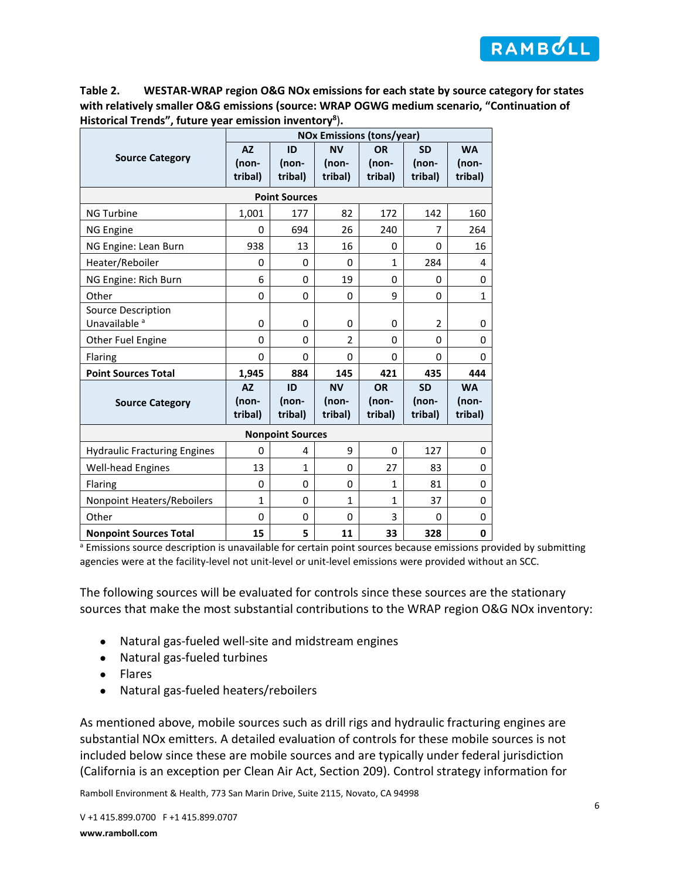

**Table 2. WESTAR-WRAP region O&G NOx emissions for each state by source category for states with relatively smaller O&G emissions (source: WRAP OGWG medium scenario, "Continuation of Historical Trends", future year emission inventor[y8](#page-1-0)** )**.**

|                                                | <b>NOx Emissions (tons/year)</b> |                        |                               |                               |                               |                               |  |  |  |
|------------------------------------------------|----------------------------------|------------------------|-------------------------------|-------------------------------|-------------------------------|-------------------------------|--|--|--|
| <b>Source Category</b>                         | <b>AZ</b><br>(non-<br>tribal)    | ID<br>(non-<br>tribal) | <b>NV</b><br>(non-<br>tribal) | <b>OR</b><br>(non-<br>tribal) | <b>SD</b><br>(non-<br>tribal) | <b>WA</b><br>(non-<br>tribal) |  |  |  |
|                                                |                                  | <b>Point Sources</b>   |                               |                               |                               |                               |  |  |  |
| <b>NG Turbine</b>                              | 1,001                            | 177                    | 82                            | 172                           | 142                           | 160                           |  |  |  |
| <b>NG Engine</b>                               | 0                                | 694                    | 26                            | 240                           | 7                             | 264                           |  |  |  |
| NG Engine: Lean Burn                           | 938                              | 13                     | 16                            | 0                             | 0                             | 16                            |  |  |  |
| Heater/Reboiler                                | 0                                | 0                      | 0                             | $\mathbf{1}$                  | 284                           | 4                             |  |  |  |
| NG Engine: Rich Burn                           | 6                                | 0                      | 19                            | 0                             | 0                             | 0                             |  |  |  |
| Other                                          | $\Omega$                         | 0                      | 0                             | 9                             | 0                             | 1                             |  |  |  |
| Source Description<br>Unavailable <sup>a</sup> | 0                                | 0                      | 0                             | 0                             | 2                             | 0                             |  |  |  |
| Other Fuel Engine                              | $\Omega$                         | 0                      | $\overline{2}$                | 0                             | 0                             | 0                             |  |  |  |
| Flaring                                        | $\Omega$                         | $\Omega$               | $\Omega$                      | $\Omega$                      | 0                             | 0                             |  |  |  |
| <b>Point Sources Total</b>                     | 1,945                            | 884                    | 145                           | 421                           | 435                           | 444                           |  |  |  |
| <b>Source Category</b>                         | <b>AZ</b><br>(non-<br>tribal)    | ID<br>(non-<br>tribal) | <b>NV</b><br>(non-<br>tribal) | <b>OR</b><br>(non-<br>tribal) | <b>SD</b><br>(non-<br>tribal) | <b>WA</b><br>(non-<br>tribal) |  |  |  |
| <b>Nonpoint Sources</b>                        |                                  |                        |                               |                               |                               |                               |  |  |  |
| <b>Hydraulic Fracturing Engines</b>            | $\Omega$                         | 4                      | 9                             | 0                             | 127                           | 0                             |  |  |  |
| <b>Well-head Engines</b>                       | 13                               | 1                      | $\Omega$                      | 27                            | 83                            | 0                             |  |  |  |
| Flaring                                        | 0                                | 0                      | 0                             | $\mathbf{1}$                  | 81                            | 0                             |  |  |  |
| Nonpoint Heaters/Reboilers                     | 1                                | 0                      | $\mathbf{1}$                  | $\mathbf{1}$                  | 37                            | 0                             |  |  |  |
| Other                                          | 0                                | 0                      | $\Omega$                      | 3                             | 0                             | 0                             |  |  |  |
| <b>Nonpoint Sources Total</b>                  | 15                               | 5                      | 11                            | 33                            | 328                           | 0                             |  |  |  |

<sup>a</sup> Emissions source description is unavailable for certain point sources because emissions provided by submitting agencies were at the facility-level not unit-level or unit-level emissions were provided without an SCC.

The following sources will be evaluated for controls since these sources are the stationary sources that make the most substantial contributions to the WRAP region O&G NOx inventory:

- Natural gas-fueled well-site and midstream engines
- Natural gas-fueled turbines
- Flares
- Natural gas-fueled heaters/reboilers

As mentioned above, mobile sources such as drill rigs and hydraulic fracturing engines are substantial NOx emitters. A detailed evaluation of controls for these mobile sources is not included below since these are mobile sources and are typically under federal jurisdiction (California is an exception per Clean Air Act, Section 209). Control strategy information for

Ramboll Environment & Health, 773 San Marin Drive, Suite 2115, Novato, CA 94998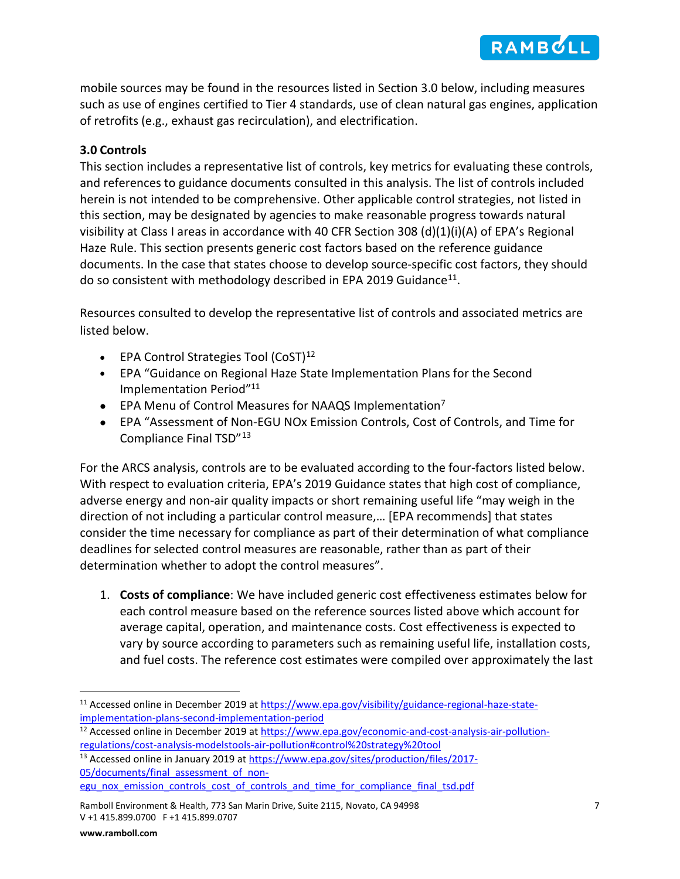mobile sources may be found in the resources listed in Section [3.0](#page-6-0) below, including measures such as use of engines certified to Tier 4 standards, use of clean natural gas engines, application of retrofits (e.g., exhaust gas recirculation), and electrification.

## <span id="page-6-0"></span>**3.0 Controls**

This section includes a representative list of controls, key metrics for evaluating these controls, and references to guidance documents consulted in this analysis. The list of controls included herein is not intended to be comprehensive. Other applicable control strategies, not listed in this section, may be designated by agencies to make reasonable progress towards natural visibility at Class I areas in accordance with 40 CFR Section 308 (d)(1)(i)(A) of EPA's Regional Haze Rule. This section presents generic cost factors based on the reference guidance documents. In the case that states choose to develop source-specific cost factors, they should do so consistent with methodology described in EPA 2019 Guidance<sup>11</sup>.

Resources consulted to develop the representative list of controls and associated metrics are listed below.

- <span id="page-6-1"></span>• EPA Control Strategies Tool  $(CoST)^{12}$  $(CoST)^{12}$  $(CoST)^{12}$
- EPA "Guidance on Regional Haze State Implementation Plans for the Second Implementation Period["11](#page-6-1)
- EPA Menu of Control Measures for NAAQS Implementation<sup>7</sup>
- EPA "Assessment of Non-EGU NOx Emission Controls, Cost of Controls, and Time for Compliance Final TSD"[13](#page-6-4)

For the ARCS analysis, controls are to be evaluated according to the four-factors listed below. With respect to evaluation criteria, EPA's 2019 Guidance states that high cost of compliance, adverse energy and non-air quality impacts or short remaining useful life "may weigh in the direction of not including a particular control measure,… [EPA recommends] that states consider the time necessary for compliance as part of their determination of what compliance deadlines for selected control measures are reasonable, rather than as part of their determination whether to adopt the control measures".

1. **Costs of compliance**: We have included generic cost effectiveness estimates below for each control measure based on the reference sources listed above which account for average capital, operation, and maintenance costs. Cost effectiveness is expected to vary by source according to parameters such as remaining useful life, installation costs, and fuel costs. The reference cost estimates were compiled over approximately the last

<span id="page-6-2"></span><sup>&</sup>lt;sup>11</sup> Accessed online in December 2019 at [https://www.epa.gov/visibility/guidance-regional-haze-state](https://www.epa.gov/visibility/guidance-regional-haze-state-implementation-plans-second-implementation-period)[implementation-plans-second-implementation-period](https://www.epa.gov/visibility/guidance-regional-haze-state-implementation-plans-second-implementation-period)

<span id="page-6-3"></span><sup>&</sup>lt;sup>12</sup> Accessed online in December 2019 at [https://www.epa.gov/economic-and-cost-analysis-air-pollution](https://www.epa.gov/economic-and-cost-analysis-air-pollution-regulations/cost-analysis-modelstools-air-pollution#control%20strategy%20tool)[regulations/cost-analysis-modelstools-air-pollution#control%20strategy%20tool](https://www.epa.gov/economic-and-cost-analysis-air-pollution-regulations/cost-analysis-modelstools-air-pollution#control%20strategy%20tool)

<span id="page-6-4"></span><sup>&</sup>lt;sup>13</sup> Accessed online in January 2019 at [https://www.epa.gov/sites/production/files/2017-](https://www.epa.gov/sites/production/files/2017-05/documents/final_assessment_of_non-egu_nox_emission_controls_cost_of_controls_and_time_for_compliance_final_tsd.pdf) [05/documents/final\\_assessment\\_of\\_non](https://www.epa.gov/sites/production/files/2017-05/documents/final_assessment_of_non-egu_nox_emission_controls_cost_of_controls_and_time_for_compliance_final_tsd.pdf)[egu\\_nox\\_emission\\_controls\\_cost\\_of\\_controls\\_and\\_time\\_for\\_compliance\\_final\\_tsd.pdf](https://www.epa.gov/sites/production/files/2017-05/documents/final_assessment_of_non-egu_nox_emission_controls_cost_of_controls_and_time_for_compliance_final_tsd.pdf)

Ramboll Environment & Health, 773 San Marin Drive, Suite 2115, Novato, CA 94998 7 V +1 415.899.0700 F +1 415.899.0707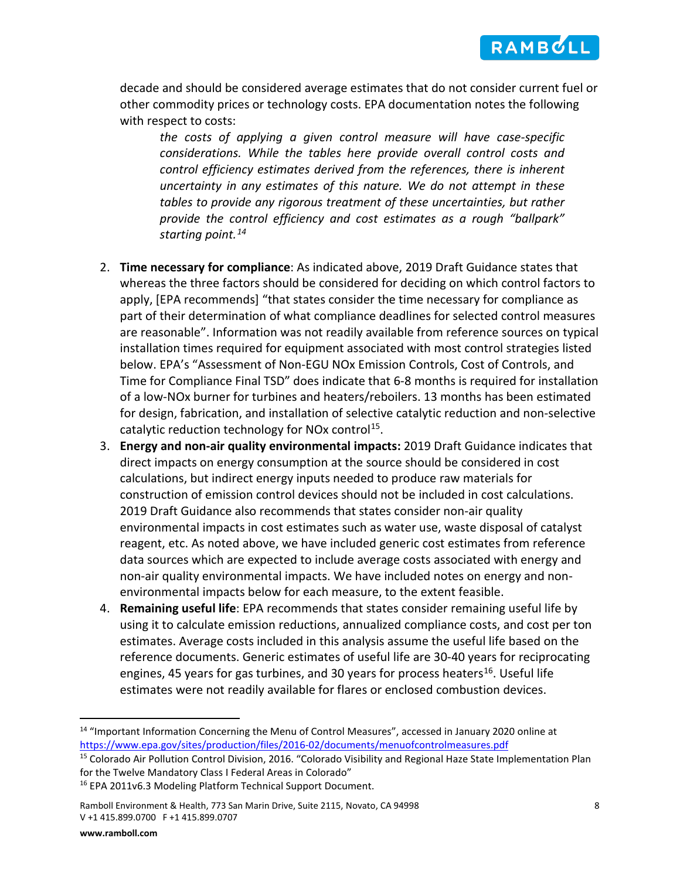

decade and should be considered average estimates that do not consider current fuel or other commodity prices or technology costs. EPA documentation notes the following with respect to costs:

*the costs of applying a given control measure will have case-specific considerations. While the tables here provide overall control costs and control efficiency estimates derived from the references, there is inherent uncertainty in any estimates of this nature. We do not attempt in these tables to provide any rigorous treatment of these uncertainties, but rather provide the control efficiency and cost estimates as a rough "ballpark" starting point.[14](#page-7-0)*

- 2. **Time necessary for compliance**: As indicated above, 2019 Draft Guidance states that whereas the three factors should be considered for deciding on which control factors to apply, [EPA recommends] "that states consider the time necessary for compliance as part of their determination of what compliance deadlines for selected control measures are reasonable". Information was not readily available from reference sources on typical installation times required for equipment associated with most control strategies listed below. EPA's "Assessment of Non-EGU NOx Emission Controls, Cost of Controls, and Time for Compliance Final TSD" does indicate that 6-8 months is required for installation of a low-NOx burner for turbines and heaters/reboilers. 13 months has been estimated for design, fabrication, and installation of selective catalytic reduction and non-selective catalytic reduction technology for NO<sub>x</sub> control<sup>[15](#page-7-1)</sup>.
- 3. **Energy and non-air quality environmental impacts:** 2019 Draft Guidance indicates that direct impacts on energy consumption at the source should be considered in cost calculations, but indirect energy inputs needed to produce raw materials for construction of emission control devices should not be included in cost calculations. 2019 Draft Guidance also recommends that states consider non-air quality environmental impacts in cost estimates such as water use, waste disposal of catalyst reagent, etc. As noted above, we have included generic cost estimates from reference data sources which are expected to include average costs associated with energy and non-air quality environmental impacts. We have included notes on energy and nonenvironmental impacts below for each measure, to the extent feasible.
- 4. **Remaining useful life**: EPA recommends that states consider remaining useful life by using it to calculate emission reductions, annualized compliance costs, and cost per ton estimates. Average costs included in this analysis assume the useful life based on the reference documents. Generic estimates of useful life are 30-40 years for reciprocating engines, 45 years for gas turbines, and 30 years for process heaters<sup>[16](#page-7-2)</sup>. Useful life estimates were not readily available for flares or enclosed combustion devices.

<span id="page-7-0"></span><sup>&</sup>lt;sup>14</sup> "Important Information Concerning the Menu of Control Measures", accessed in January 2020 online at <https://www.epa.gov/sites/production/files/2016-02/documents/menuofcontrolmeasures.pdf>

<span id="page-7-1"></span><sup>&</sup>lt;sup>15</sup> Colorado Air Pollution Control Division, 2016. "Colorado Visibility and Regional Haze State Implementation Plan for the Twelve Mandatory Class I Federal Areas in Colorado"

<span id="page-7-2"></span><sup>16</sup> EPA 2011v6.3 Modeling Platform Technical Support Document.

Ramboll Environment & Health, 773 San Marin Drive, Suite 2115, Novato, CA 94998 8 V +1 415.899.0700 F +1 415.899.0707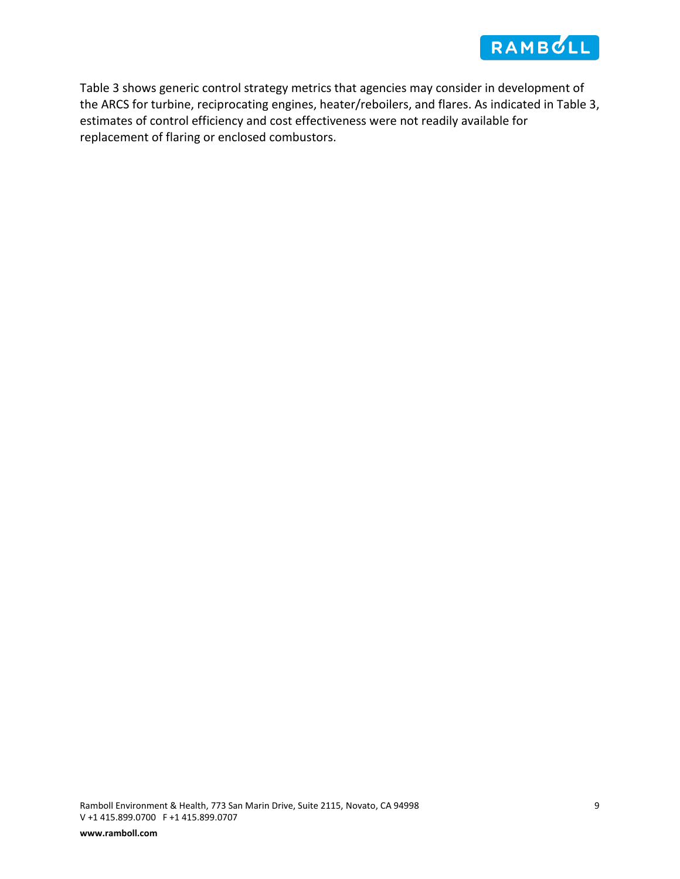

Table 3 shows generic control strategy metrics that agencies may consider in development of the ARCS for turbine, reciprocating engines, heater/reboilers, and flares. As indicated in Table 3, estimates of control efficiency and cost effectiveness were not readily available for replacement of flaring or enclosed combustors.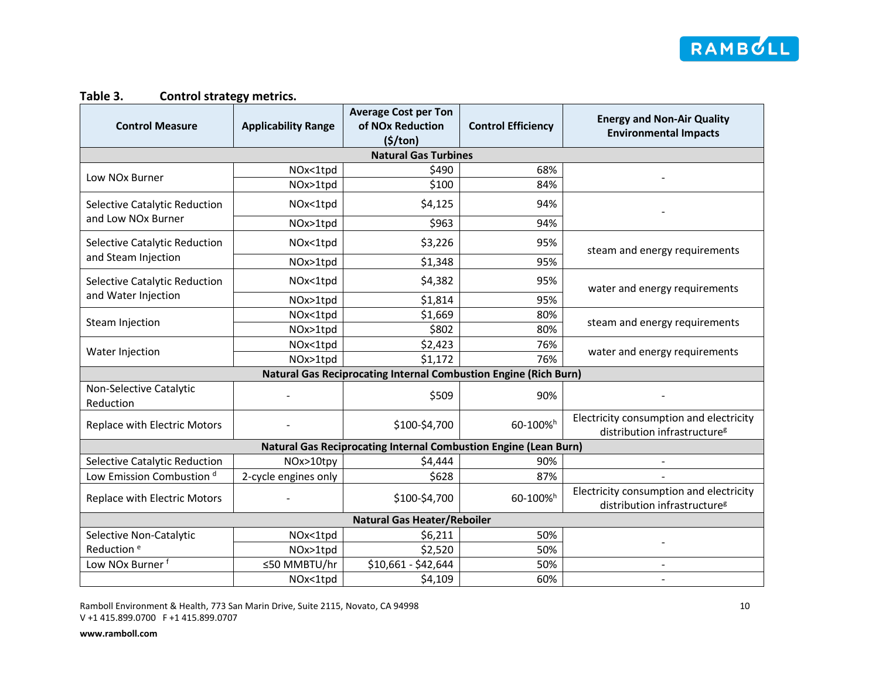

### **Table 3. Control strategy metrics.**

| <b>Control Measure</b>               | <b>Applicability Range</b> | <b>Average Cost per Ton</b><br>of NO <sub>x</sub> Reduction             | <b>Control Efficiency</b> | <b>Energy and Non-Air Quality</b><br><b>Environmental Impacts</b>                   |  |  |  |  |
|--------------------------------------|----------------------------|-------------------------------------------------------------------------|---------------------------|-------------------------------------------------------------------------------------|--|--|--|--|
|                                      |                            | (5/ton)                                                                 |                           |                                                                                     |  |  |  |  |
|                                      |                            | <b>Natural Gas Turbines</b>                                             |                           |                                                                                     |  |  |  |  |
| Low NO <sub>x</sub> Burner           | NOx<1tpd                   | \$490                                                                   | 68%                       |                                                                                     |  |  |  |  |
|                                      | NOx>1tpd                   | \$100                                                                   | 84%                       |                                                                                     |  |  |  |  |
| Selective Catalytic Reduction        | NOx<1tpd                   | \$4,125                                                                 | 94%                       |                                                                                     |  |  |  |  |
| and Low NOx Burner                   | NOx>1tpd                   | \$963                                                                   | 94%                       |                                                                                     |  |  |  |  |
| Selective Catalytic Reduction        | NOx<1tpd                   | \$3,226                                                                 | 95%                       | steam and energy requirements                                                       |  |  |  |  |
| and Steam Injection                  | NOx>1tpd                   | \$1,348                                                                 | 95%                       |                                                                                     |  |  |  |  |
| Selective Catalytic Reduction        | NOx<1tpd                   | \$4,382                                                                 | 95%                       | water and energy requirements                                                       |  |  |  |  |
| and Water Injection                  | NOx>1tpd                   | \$1,814                                                                 | 95%                       |                                                                                     |  |  |  |  |
|                                      | NOx<1tpd                   | \$1,669                                                                 | 80%                       |                                                                                     |  |  |  |  |
| Steam Injection                      | NOx>1tpd                   | \$802                                                                   | 80%                       | steam and energy requirements                                                       |  |  |  |  |
|                                      | NOx<1tpd                   | \$2,423                                                                 | 76%                       |                                                                                     |  |  |  |  |
| Water Injection                      | NOx>1tpd                   | \$1,172                                                                 | 76%                       | water and energy requirements                                                       |  |  |  |  |
|                                      |                            | <b>Natural Gas Reciprocating Internal Combustion Engine (Rich Burn)</b> |                           |                                                                                     |  |  |  |  |
| Non-Selective Catalytic<br>Reduction |                            | \$509                                                                   | 90%                       |                                                                                     |  |  |  |  |
| Replace with Electric Motors         |                            | \$100-\$4,700                                                           | 60-100% <sup>h</sup>      | Electricity consumption and electricity<br>distribution infrastructure <sup>g</sup> |  |  |  |  |
|                                      |                            | Natural Gas Reciprocating Internal Combustion Engine (Lean Burn)        |                           |                                                                                     |  |  |  |  |
| Selective Catalytic Reduction        | NOx>10tpy                  | \$4,444                                                                 | 90%                       |                                                                                     |  |  |  |  |
| Low Emission Combustion <sup>d</sup> | 2-cycle engines only       | \$628                                                                   | 87%                       |                                                                                     |  |  |  |  |
| Replace with Electric Motors         |                            | \$100-\$4,700                                                           | 60-100%h                  | Electricity consumption and electricity<br>distribution infrastructure <sup>g</sup> |  |  |  |  |
| <b>Natural Gas Heater/Reboiler</b>   |                            |                                                                         |                           |                                                                                     |  |  |  |  |
| Selective Non-Catalytic              | NOx<1tpd                   | \$6,211                                                                 | 50%                       |                                                                                     |  |  |  |  |
| Reduction <sup>e</sup>               | NOx>1tpd                   | \$2,520                                                                 | 50%                       |                                                                                     |  |  |  |  |
| Low NOx Burner <sup>f</sup>          | ≤50 MMBTU/hr               | \$10,661 - \$42,644                                                     | 50%                       |                                                                                     |  |  |  |  |
|                                      | NOx<1tpd                   | \$4,109                                                                 | 60%                       |                                                                                     |  |  |  |  |

Ramboll Environment & Health, 773 San Marin Drive, Suite 2115, Novato, CA 94998 10 V +1 415.899.0700 F +1 415.899.0707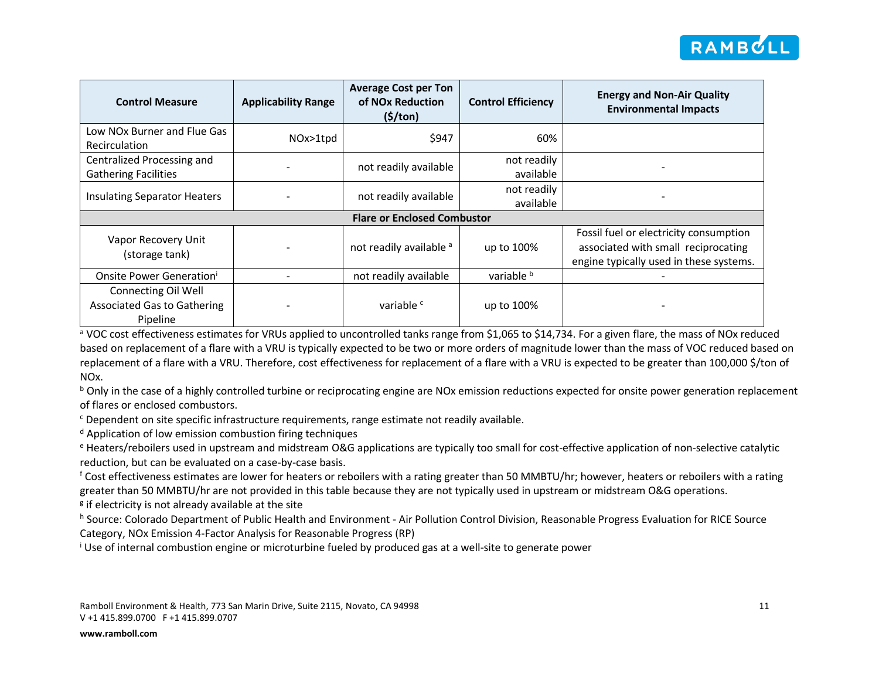

| <b>Control Measure</b>                                                | <b>Applicability Range</b> | <b>Average Cost per Ton</b><br>of NO <sub>x</sub> Reduction<br>(5/ton) | <b>Control Efficiency</b> | <b>Energy and Non-Air Quality</b><br><b>Environmental Impacts</b>                                                        |  |  |  |  |
|-----------------------------------------------------------------------|----------------------------|------------------------------------------------------------------------|---------------------------|--------------------------------------------------------------------------------------------------------------------------|--|--|--|--|
| Low NOx Burner and Flue Gas<br><b>Recirculation</b>                   | NOx>1tpd                   | \$947                                                                  | 60%                       |                                                                                                                          |  |  |  |  |
| Centralized Processing and<br><b>Gathering Facilities</b>             |                            | not readily available                                                  | not readily<br>available  |                                                                                                                          |  |  |  |  |
| <b>Insulating Separator Heaters</b>                                   |                            | not readily available                                                  | not readily<br>available  |                                                                                                                          |  |  |  |  |
| <b>Flare or Enclosed Combustor</b>                                    |                            |                                                                        |                           |                                                                                                                          |  |  |  |  |
| Vapor Recovery Unit<br>(storage tank)                                 |                            | not readily available a                                                | up to 100%                | Fossil fuel or electricity consumption<br>associated with small reciprocating<br>engine typically used in these systems. |  |  |  |  |
| Onsite Power Generation'                                              |                            | not readily available                                                  | variable b                |                                                                                                                          |  |  |  |  |
| Connecting Oil Well<br><b>Associated Gas to Gathering</b><br>Pipeline |                            | variable <sup>c</sup>                                                  | up to 100%                |                                                                                                                          |  |  |  |  |

a VOC cost effectiveness estimates for VRUs applied to uncontrolled tanks range from \$1,065 to \$14,734. For a given flare, the mass of NOx reduced based on replacement of a flare with a VRU is typically expected to be two or more orders of magnitude lower than the mass of VOC reduced based on replacement of a flare with a VRU. Therefore, cost effectiveness for replacement of a flare with a VRU is expected to be greater than 100,000 \$/ton of NOx.

 $b$  Only in the case of a highly controlled turbine or reciprocating engine are NOx emission reductions expected for onsite power generation replacement of flares or enclosed combustors.

<sup>c</sup> Dependent on site specific infrastructure requirements, range estimate not readily available.

<sup>d</sup> Application of low emission combustion firing techniques

<sup>e</sup> Heaters/reboilers used in upstream and midstream O&G applications are typically too small for cost-effective application of non-selective catalytic reduction, but can be evaluated on a case-by-case basis.

 $f$  Cost effectiveness estimates are lower for heaters or reboilers with a rating greater than 50 MMBTU/hr; however, heaters or reboilers with a rating greater than 50 MMBTU/hr are not provided in this table because they are not typically used in upstream or midstream O&G operations.

 $\frac{g}{g}$  if electricity is not already available at the site

h Source: Colorado Department of Public Health and Environment - Air Pollution Control Division, Reasonable Progress Evaluation for RICE Source Category, NOx Emission 4-Factor Analysis for Reasonable Progress (RP)

<sup>i</sup> Use of internal combustion engine or microturbine fueled by produced gas at a well-site to generate power